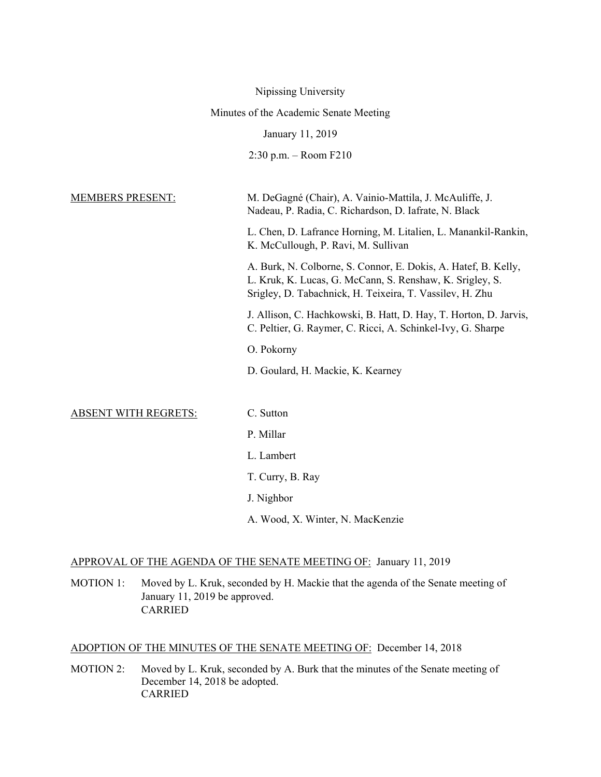|                                        | Nipissing University                                                                                                                                                                   |  |  |
|----------------------------------------|----------------------------------------------------------------------------------------------------------------------------------------------------------------------------------------|--|--|
| Minutes of the Academic Senate Meeting |                                                                                                                                                                                        |  |  |
|                                        | January 11, 2019                                                                                                                                                                       |  |  |
|                                        | $2:30$ p.m. - Room $F210$                                                                                                                                                              |  |  |
|                                        |                                                                                                                                                                                        |  |  |
| <b>MEMBERS PRESENT:</b>                | M. DeGagné (Chair), A. Vainio-Mattila, J. McAuliffe, J.<br>Nadeau, P. Radia, C. Richardson, D. Iafrate, N. Black                                                                       |  |  |
|                                        | L. Chen, D. Lafrance Horning, M. Litalien, L. Manankil-Rankin,<br>K. McCullough, P. Ravi, M. Sullivan                                                                                  |  |  |
|                                        | A. Burk, N. Colborne, S. Connor, E. Dokis, A. Hatef, B. Kelly,<br>L. Kruk, K. Lucas, G. McCann, S. Renshaw, K. Srigley, S.<br>Srigley, D. Tabachnick, H. Teixeira, T. Vassilev, H. Zhu |  |  |
|                                        | J. Allison, C. Hachkowski, B. Hatt, D. Hay, T. Horton, D. Jarvis,<br>C. Peltier, G. Raymer, C. Ricci, A. Schinkel-Ivy, G. Sharpe                                                       |  |  |
|                                        | O. Pokorny                                                                                                                                                                             |  |  |
|                                        | D. Goulard, H. Mackie, K. Kearney                                                                                                                                                      |  |  |
|                                        |                                                                                                                                                                                        |  |  |
| <b>ABSENT WITH REGRETS:</b>            | C. Sutton                                                                                                                                                                              |  |  |
|                                        | P. Millar                                                                                                                                                                              |  |  |
|                                        | L. Lambert                                                                                                                                                                             |  |  |
|                                        | T. Curry, B. Ray                                                                                                                                                                       |  |  |
|                                        | J. Nighbor                                                                                                                                                                             |  |  |
|                                        | A. Wood, X. Winter, N. MacKenzie                                                                                                                                                       |  |  |

# APPROVAL OF THE AGENDA OF THE SENATE MEETING OF: January 11, 2019

MOTION 1: Moved by L. Kruk, seconded by H. Mackie that the agenda of the Senate meeting of January 11, 2019 be approved. CARRIED

# ADOPTION OF THE MINUTES OF THE SENATE MEETING OF: December 14, 2018

MOTION 2: Moved by L. Kruk, seconded by A. Burk that the minutes of the Senate meeting of December 14, 2018 be adopted. CARRIED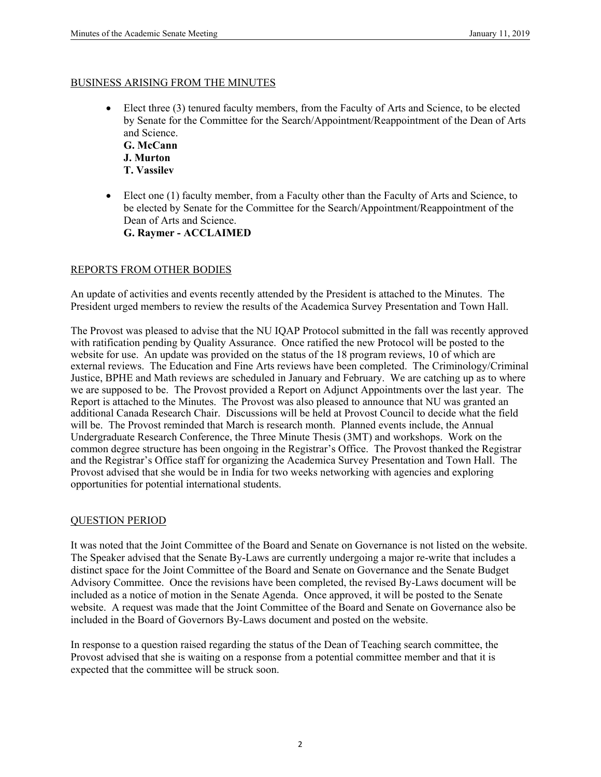#### BUSINESS ARISING FROM THE MINUTES

 Elect three (3) tenured faculty members, from the Faculty of Arts and Science, to be elected by Senate for the Committee for the Search/Appointment/Reappointment of the Dean of Arts and Science.

**G. McCann J. Murton T. Vassilev**

 Elect one (1) faculty member, from a Faculty other than the Faculty of Arts and Science, to be elected by Senate for the Committee for the Search/Appointment/Reappointment of the Dean of Arts and Science. **G. Raymer - ACCLAIMED** 

#### REPORTS FROM OTHER BODIES

An update of activities and events recently attended by the President is attached to the Minutes. The President urged members to review the results of the Academica Survey Presentation and Town Hall.

The Provost was pleased to advise that the NU IQAP Protocol submitted in the fall was recently approved with ratification pending by Quality Assurance. Once ratified the new Protocol will be posted to the website for use. An update was provided on the status of the 18 program reviews, 10 of which are external reviews. The Education and Fine Arts reviews have been completed. The Criminology/Criminal Justice, BPHE and Math reviews are scheduled in January and February. We are catching up as to where we are supposed to be. The Provost provided a Report on Adjunct Appointments over the last year. The Report is attached to the Minutes. The Provost was also pleased to announce that NU was granted an additional Canada Research Chair. Discussions will be held at Provost Council to decide what the field will be. The Provost reminded that March is research month. Planned events include, the Annual Undergraduate Research Conference, the Three Minute Thesis (3MT) and workshops. Work on the common degree structure has been ongoing in the Registrar's Office. The Provost thanked the Registrar and the Registrar's Office staff for organizing the Academica Survey Presentation and Town Hall. The Provost advised that she would be in India for two weeks networking with agencies and exploring opportunities for potential international students.

#### QUESTION PERIOD

It was noted that the Joint Committee of the Board and Senate on Governance is not listed on the website. The Speaker advised that the Senate By-Laws are currently undergoing a major re-write that includes a distinct space for the Joint Committee of the Board and Senate on Governance and the Senate Budget Advisory Committee. Once the revisions have been completed, the revised By-Laws document will be included as a notice of motion in the Senate Agenda. Once approved, it will be posted to the Senate website. A request was made that the Joint Committee of the Board and Senate on Governance also be included in the Board of Governors By-Laws document and posted on the website.

In response to a question raised regarding the status of the Dean of Teaching search committee, the Provost advised that she is waiting on a response from a potential committee member and that it is expected that the committee will be struck soon.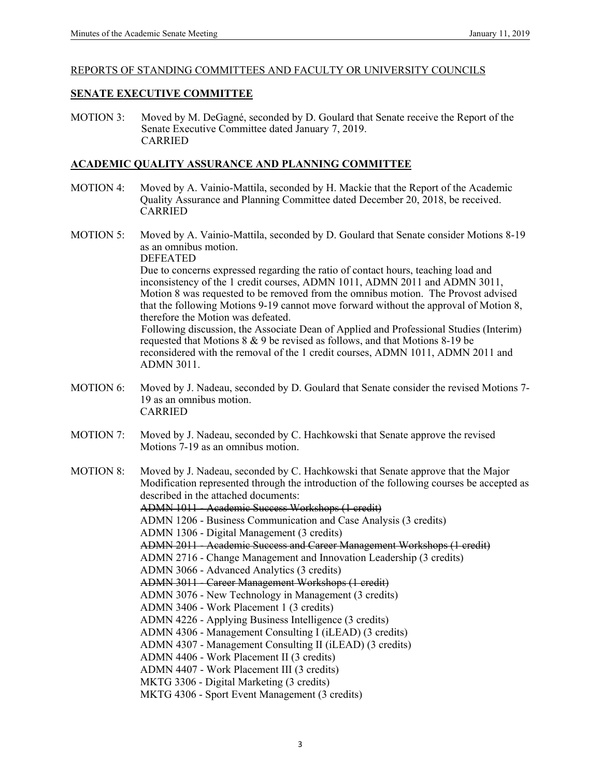#### REPORTS OF STANDING COMMITTEES AND FACULTY OR UNIVERSITY COUNCILS

#### **SENATE EXECUTIVE COMMITTEE**

MOTION 3: Moved by M. DeGagné, seconded by D. Goulard that Senate receive the Report of the Senate Executive Committee dated January 7, 2019. CARRIED

#### **ACADEMIC QUALITY ASSURANCE AND PLANNING COMMITTEE**

- MOTION 4: Moved by A. Vainio-Mattila, seconded by H. Mackie that the Report of the Academic Quality Assurance and Planning Committee dated December 20, 2018, be received. CARRIED
- MOTION 5: Moved by A. Vainio-Mattila, seconded by D. Goulard that Senate consider Motions 8-19 as an omnibus motion. DEFEATED Due to concerns expressed regarding the ratio of contact hours, teaching load and

inconsistency of the 1 credit courses, ADMN 1011, ADMN 2011 and ADMN 3011, Motion 8 was requested to be removed from the omnibus motion. The Provost advised that the following Motions 9-19 cannot move forward without the approval of Motion 8, therefore the Motion was defeated. Following discussion, the Associate Dean of Applied and Professional Studies (Interim)

requested that Motions 8 & 9 be revised as follows, and that Motions 8-19 be reconsidered with the removal of the 1 credit courses, ADMN 1011, ADMN 2011 and ADMN 3011.

- MOTION 6: Moved by J. Nadeau, seconded by D. Goulard that Senate consider the revised Motions 7- 19 as an omnibus motion. CARRIED
- MOTION 7: Moved by J. Nadeau, seconded by C. Hachkowski that Senate approve the revised Motions 7-19 as an omnibus motion.

MOTION 8: Moved by J. Nadeau, seconded by C. Hachkowski that Senate approve that the Major Modification represented through the introduction of the following courses be accepted as described in the attached documents: ADMN 1011 - Academic Success Workshops (1 credit) ADMN 1206 - Business Communication and Case Analysis (3 credits) ADMN 1306 - Digital Management (3 credits) ADMN 2011 - Academic Success and Career Management Workshops (1 credit) ADMN 2716 - Change Management and Innovation Leadership (3 credits) ADMN 3066 - Advanced Analytics (3 credits) ADMN 3011 - Career Management Workshops (1 credit) ADMN 3076 - New Technology in Management (3 credits) ADMN 3406 - Work Placement 1 (3 credits) ADMN 4226 - Applying Business Intelligence (3 credits) ADMN 4306 - Management Consulting I (iLEAD) (3 credits) ADMN 4307 - Management Consulting II (iLEAD) (3 credits) ADMN 4406 - Work Placement II (3 credits) ADMN 4407 - Work Placement III (3 credits) MKTG 3306 - Digital Marketing (3 credits) MKTG 4306 - Sport Event Management (3 credits)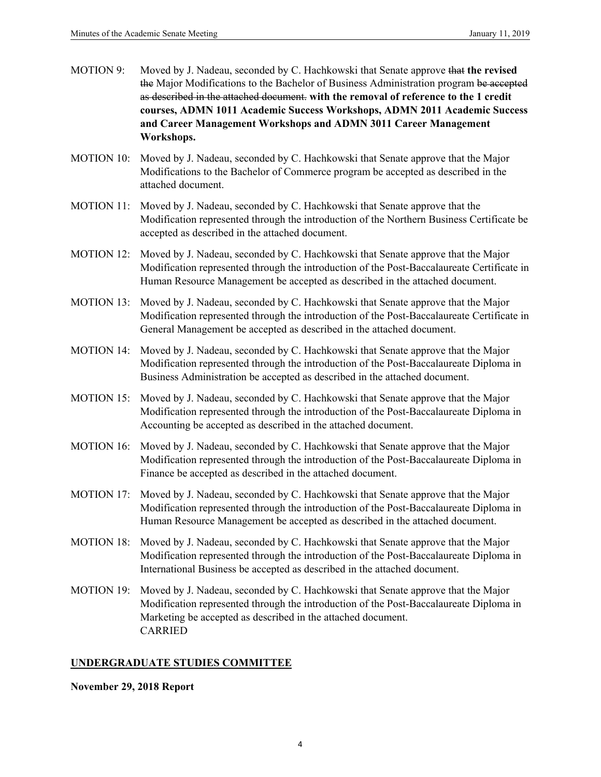| MOTION 9: | Moved by J. Nadeau, seconded by C. Hachkowski that Senate approve that the revised     |
|-----------|----------------------------------------------------------------------------------------|
|           | the Major Modifications to the Bachelor of Business Administration program be accepted |
|           | as described in the attached document. with the removal of reference to the 1 credit   |
|           | courses, ADMN 1011 Academic Success Workshops, ADMN 2011 Academic Success              |
|           | and Career Management Workshops and ADMN 3011 Career Management                        |
|           | Workshops.                                                                             |

- MOTION 10: Moved by J. Nadeau, seconded by C. Hachkowski that Senate approve that the Major Modifications to the Bachelor of Commerce program be accepted as described in the attached document.
- MOTION 11: Moved by J. Nadeau, seconded by C. Hachkowski that Senate approve that the Modification represented through the introduction of the Northern Business Certificate be accepted as described in the attached document.
- MOTION 12: Moved by J. Nadeau, seconded by C. Hachkowski that Senate approve that the Major Modification represented through the introduction of the Post-Baccalaureate Certificate in Human Resource Management be accepted as described in the attached document.
- MOTION 13: Moved by J. Nadeau, seconded by C. Hachkowski that Senate approve that the Major Modification represented through the introduction of the Post-Baccalaureate Certificate in General Management be accepted as described in the attached document.
- MOTION 14: Moved by J. Nadeau, seconded by C. Hachkowski that Senate approve that the Major Modification represented through the introduction of the Post-Baccalaureate Diploma in Business Administration be accepted as described in the attached document.
- MOTION 15: Moved by J. Nadeau, seconded by C. Hachkowski that Senate approve that the Major Modification represented through the introduction of the Post-Baccalaureate Diploma in Accounting be accepted as described in the attached document.
- MOTION 16: Moved by J. Nadeau, seconded by C. Hachkowski that Senate approve that the Major Modification represented through the introduction of the Post-Baccalaureate Diploma in Finance be accepted as described in the attached document.
- MOTION 17: Moved by J. Nadeau, seconded by C. Hachkowski that Senate approve that the Major Modification represented through the introduction of the Post-Baccalaureate Diploma in Human Resource Management be accepted as described in the attached document.
- MOTION 18: Moved by J. Nadeau, seconded by C. Hachkowski that Senate approve that the Major Modification represented through the introduction of the Post-Baccalaureate Diploma in International Business be accepted as described in the attached document.
- MOTION 19: Moved by J. Nadeau, seconded by C. Hachkowski that Senate approve that the Major Modification represented through the introduction of the Post-Baccalaureate Diploma in Marketing be accepted as described in the attached document. CARRIED

# **UNDERGRADUATE STUDIES COMMITTEE**

**November 29, 2018 Report**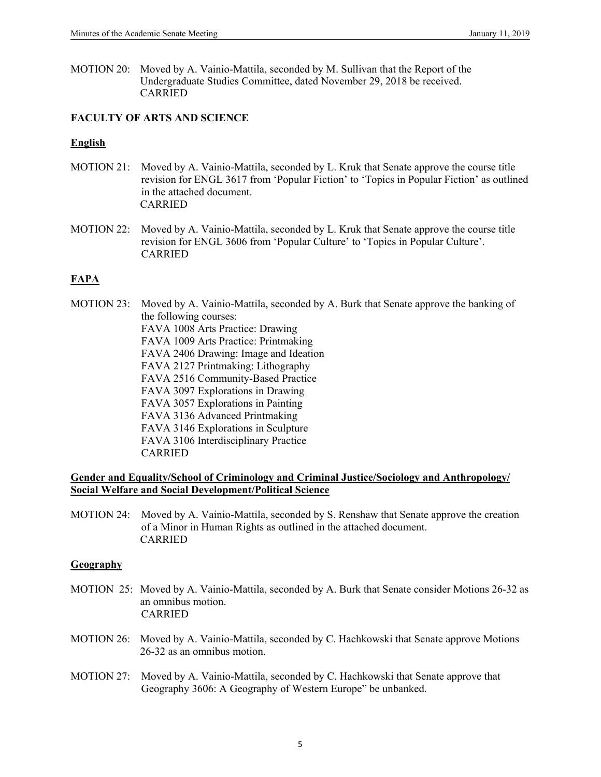MOTION 20: Moved by A. Vainio-Mattila, seconded by M. Sullivan that the Report of the Undergraduate Studies Committee, dated November 29, 2018 be received. CARRIED

## **FACULTY OF ARTS AND SCIENCE**

#### **English**

- MOTION 21: Moved by A. Vainio-Mattila, seconded by L. Kruk that Senate approve the course title revision for ENGL 3617 from 'Popular Fiction' to 'Topics in Popular Fiction' as outlined in the attached document. CARRIED
- MOTION 22: Moved by A. Vainio-Mattila, seconded by L. Kruk that Senate approve the course title revision for ENGL 3606 from 'Popular Culture' to 'Topics in Popular Culture'. CARRIED

## **FAPA**

MOTION 23: Moved by A. Vainio-Mattila, seconded by A. Burk that Senate approve the banking of the following courses: FAVA 1008 Arts Practice: Drawing FAVA 1009 Arts Practice: Printmaking FAVA 2406 Drawing: Image and Ideation FAVA 2127 Printmaking: Lithography FAVA 2516 Community-Based Practice FAVA 3097 Explorations in Drawing FAVA 3057 Explorations in Painting FAVA 3136 Advanced Printmaking FAVA 3146 Explorations in Sculpture FAVA 3106 Interdisciplinary Practice CARRIED

#### **Gender and Equality/School of Criminology and Criminal Justice/Sociology and Anthropology/ Social Welfare and Social Development/Political Science**

MOTION 24: Moved by A. Vainio-Mattila, seconded by S. Renshaw that Senate approve the creation of a Minor in Human Rights as outlined in the attached document. CARRIED

#### **Geography**

- MOTION 25: Moved by A. Vainio-Mattila, seconded by A. Burk that Senate consider Motions 26-32 as an omnibus motion. CARRIED
- MOTION 26: Moved by A. Vainio-Mattila, seconded by C. Hachkowski that Senate approve Motions 26-32 as an omnibus motion.
- MOTION 27: Moved by A. Vainio-Mattila, seconded by C. Hachkowski that Senate approve that Geography 3606: A Geography of Western Europe" be unbanked.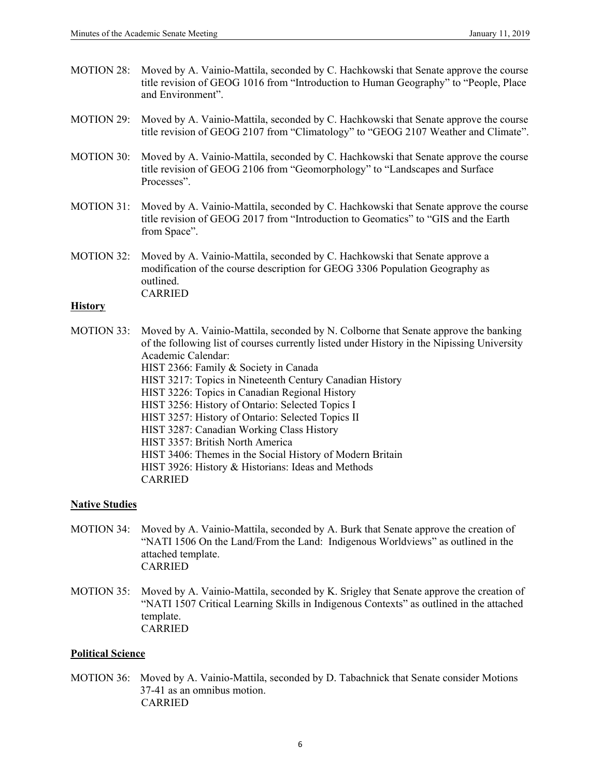- MOTION 28: Moved by A. Vainio-Mattila, seconded by C. Hachkowski that Senate approve the course title revision of GEOG 1016 from "Introduction to Human Geography" to "People, Place and Environment".
- MOTION 29: Moved by A. Vainio-Mattila, seconded by C. Hachkowski that Senate approve the course title revision of GEOG 2107 from "Climatology" to "GEOG 2107 Weather and Climate".
- MOTION 30: Moved by A. Vainio-Mattila, seconded by C. Hachkowski that Senate approve the course title revision of GEOG 2106 from "Geomorphology" to "Landscapes and Surface Processes".
- MOTION 31: Moved by A. Vainio-Mattila, seconded by C. Hachkowski that Senate approve the course title revision of GEOG 2017 from "Introduction to Geomatics" to "GIS and the Earth from Space".
- MOTION 32: Moved by A. Vainio-Mattila, seconded by C. Hachkowski that Senate approve a modification of the course description for GEOG 3306 Population Geography as outlined. CARRIED

#### **History**

MOTION 33: Moved by A. Vainio-Mattila, seconded by N. Colborne that Senate approve the banking of the following list of courses currently listed under History in the Nipissing University Academic Calendar: HIST 2366: Family & Society in Canada HIST 3217: Topics in Nineteenth Century Canadian History HIST 3226: Topics in Canadian Regional History HIST 3256: History of Ontario: Selected Topics I HIST 3257: History of Ontario: Selected Topics II HIST 3287: Canadian Working Class History HIST 3357: British North America HIST 3406: Themes in the Social History of Modern Britain HIST 3926: History & Historians: Ideas and Methods CARRIED

#### **Native Studies**

- MOTION 34: Moved by A. Vainio-Mattila, seconded by A. Burk that Senate approve the creation of "NATI 1506 On the Land/From the Land: Indigenous Worldviews" as outlined in the attached template. CARRIED
- MOTION 35: Moved by A. Vainio-Mattila, seconded by K. Srigley that Senate approve the creation of "NATI 1507 Critical Learning Skills in Indigenous Contexts" as outlined in the attached template. CARRIED

#### **Political Science**

MOTION 36: Moved by A. Vainio-Mattila, seconded by D. Tabachnick that Senate consider Motions 37-41 as an omnibus motion. CARRIED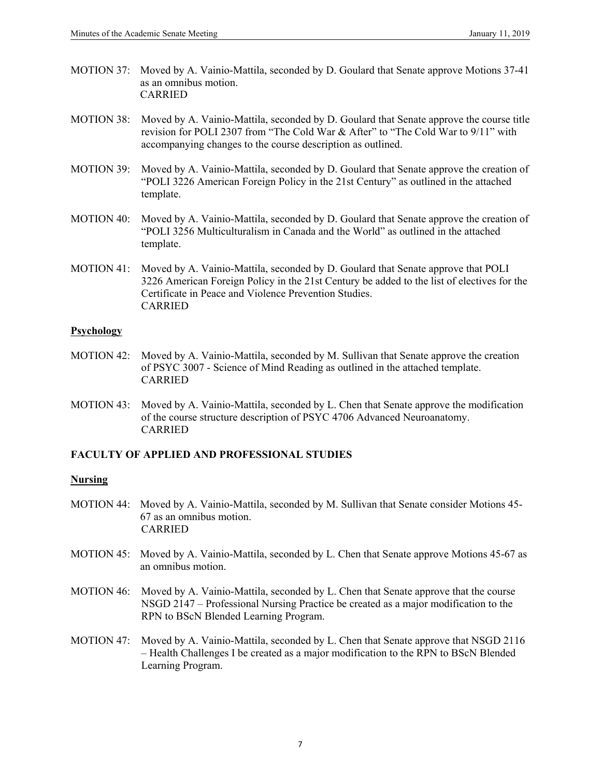- MOTION 37: Moved by A. Vainio-Mattila, seconded by D. Goulard that Senate approve Motions 37-41 as an omnibus motion. CARRIED
- MOTION 38: Moved by A. Vainio-Mattila, seconded by D. Goulard that Senate approve the course title revision for POLI 2307 from "The Cold War & After" to "The Cold War to 9/11" with accompanying changes to the course description as outlined.
- MOTION 39: Moved by A. Vainio-Mattila, seconded by D. Goulard that Senate approve the creation of "POLI 3226 American Foreign Policy in the 21st Century" as outlined in the attached template.
- MOTION 40: Moved by A. Vainio-Mattila, seconded by D. Goulard that Senate approve the creation of "POLI 3256 Multiculturalism in Canada and the World" as outlined in the attached template.
- MOTION 41: Moved by A. Vainio-Mattila, seconded by D. Goulard that Senate approve that POLI 3226 American Foreign Policy in the 21st Century be added to the list of electives for the Certificate in Peace and Violence Prevention Studies. CARRIED

#### **Psychology**

- MOTION 42: Moved by A. Vainio-Mattila, seconded by M. Sullivan that Senate approve the creation of PSYC 3007 - Science of Mind Reading as outlined in the attached template. CARRIED
- MOTION 43: Moved by A. Vainio-Mattila, seconded by L. Chen that Senate approve the modification of the course structure description of PSYC 4706 Advanced Neuroanatomy. CARRIED

## **FACULTY OF APPLIED AND PROFESSIONAL STUDIES**

#### **Nursing**

- MOTION 44: Moved by A. Vainio-Mattila, seconded by M. Sullivan that Senate consider Motions 45- 67 as an omnibus motion. CARRIED
- MOTION 45: Moved by A. Vainio-Mattila, seconded by L. Chen that Senate approve Motions 45-67 as an omnibus motion.
- MOTION 46: Moved by A. Vainio-Mattila, seconded by L. Chen that Senate approve that the course NSGD 2147 – Professional Nursing Practice be created as a major modification to the RPN to BScN Blended Learning Program.
- MOTION 47: Moved by A. Vainio-Mattila, seconded by L. Chen that Senate approve that NSGD 2116 – Health Challenges I be created as a major modification to the RPN to BScN Blended Learning Program.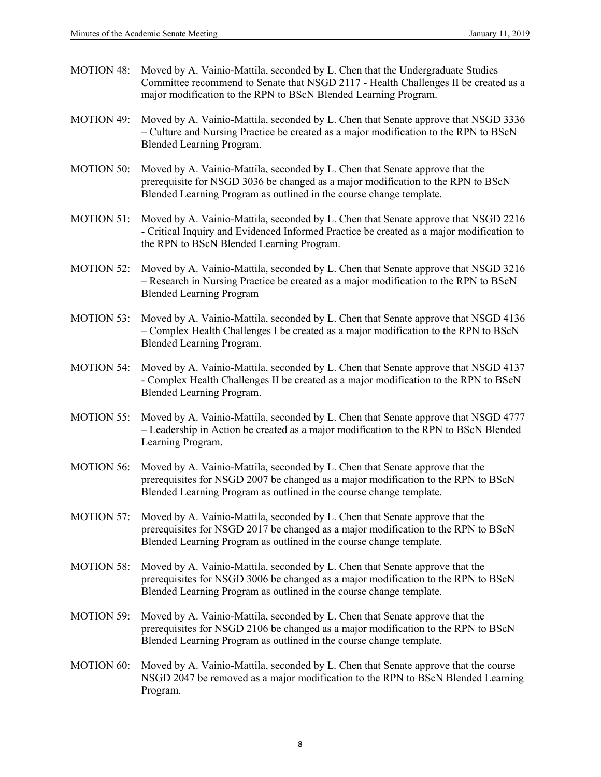- MOTION 48: Moved by A. Vainio-Mattila, seconded by L. Chen that the Undergraduate Studies Committee recommend to Senate that NSGD 2117 - Health Challenges II be created as a major modification to the RPN to BScN Blended Learning Program.
- MOTION 49: Moved by A. Vainio-Mattila, seconded by L. Chen that Senate approve that NSGD 3336 – Culture and Nursing Practice be created as a major modification to the RPN to BScN Blended Learning Program.
- MOTION 50: Moved by A. Vainio-Mattila, seconded by L. Chen that Senate approve that the prerequisite for NSGD 3036 be changed as a major modification to the RPN to BScN Blended Learning Program as outlined in the course change template.
- MOTION 51: Moved by A. Vainio-Mattila, seconded by L. Chen that Senate approve that NSGD 2216 - Critical Inquiry and Evidenced Informed Practice be created as a major modification to the RPN to BScN Blended Learning Program.
- MOTION 52: Moved by A. Vainio-Mattila, seconded by L. Chen that Senate approve that NSGD 3216 – Research in Nursing Practice be created as a major modification to the RPN to BScN Blended Learning Program
- MOTION 53: Moved by A. Vainio-Mattila, seconded by L. Chen that Senate approve that NSGD 4136 – Complex Health Challenges I be created as a major modification to the RPN to BScN Blended Learning Program.
- MOTION 54: Moved by A. Vainio-Mattila, seconded by L. Chen that Senate approve that NSGD 4137 - Complex Health Challenges II be created as a major modification to the RPN to BScN Blended Learning Program.
- MOTION 55: Moved by A. Vainio-Mattila, seconded by L. Chen that Senate approve that NSGD 4777 – Leadership in Action be created as a major modification to the RPN to BScN Blended Learning Program.
- MOTION 56: Moved by A. Vainio-Mattila, seconded by L. Chen that Senate approve that the prerequisites for NSGD 2007 be changed as a major modification to the RPN to BScN Blended Learning Program as outlined in the course change template.
- MOTION 57: Moved by A. Vainio-Mattila, seconded by L. Chen that Senate approve that the prerequisites for NSGD 2017 be changed as a major modification to the RPN to BScN Blended Learning Program as outlined in the course change template.
- MOTION 58: Moved by A. Vainio-Mattila, seconded by L. Chen that Senate approve that the prerequisites for NSGD 3006 be changed as a major modification to the RPN to BScN Blended Learning Program as outlined in the course change template.
- MOTION 59: Moved by A. Vainio-Mattila, seconded by L. Chen that Senate approve that the prerequisites for NSGD 2106 be changed as a major modification to the RPN to BScN Blended Learning Program as outlined in the course change template.
- MOTION 60: Moved by A. Vainio-Mattila, seconded by L. Chen that Senate approve that the course NSGD 2047 be removed as a major modification to the RPN to BScN Blended Learning Program.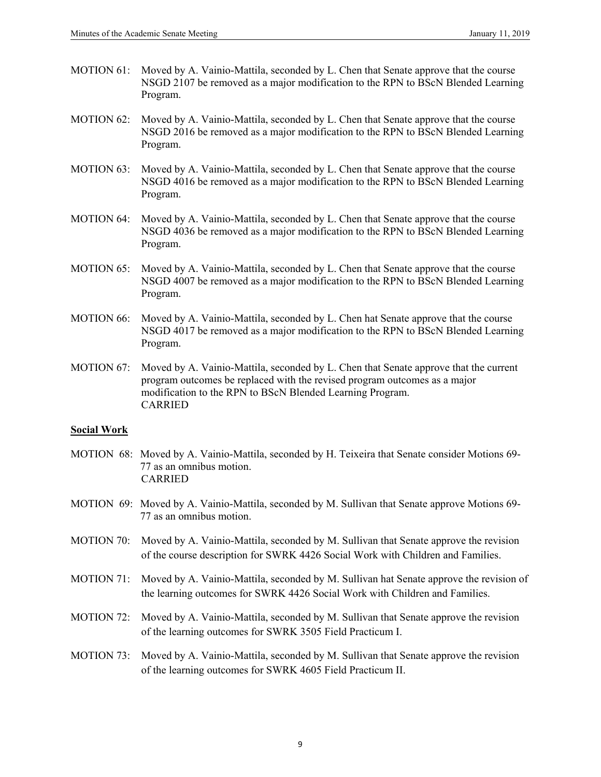- MOTION 61: Moved by A. Vainio-Mattila, seconded by L. Chen that Senate approve that the course NSGD 2107 be removed as a major modification to the RPN to BScN Blended Learning Program.
- MOTION 62: Moved by A. Vainio-Mattila, seconded by L. Chen that Senate approve that the course NSGD 2016 be removed as a major modification to the RPN to BScN Blended Learning Program.
- MOTION 63: Moved by A. Vainio-Mattila, seconded by L. Chen that Senate approve that the course NSGD 4016 be removed as a major modification to the RPN to BScN Blended Learning Program.
- MOTION 64: Moved by A. Vainio-Mattila, seconded by L. Chen that Senate approve that the course NSGD 4036 be removed as a major modification to the RPN to BScN Blended Learning Program.
- MOTION 65: Moved by A. Vainio-Mattila, seconded by L. Chen that Senate approve that the course NSGD 4007 be removed as a major modification to the RPN to BScN Blended Learning Program.
- MOTION 66: Moved by A. Vainio-Mattila, seconded by L. Chen hat Senate approve that the course NSGD 4017 be removed as a major modification to the RPN to BScN Blended Learning Program.
- MOTION 67: Moved by A. Vainio-Mattila, seconded by L. Chen that Senate approve that the current program outcomes be replaced with the revised program outcomes as a major modification to the RPN to BScN Blended Learning Program. CARRIED

#### **Social Work**

- MOTION 68: Moved by A. Vainio-Mattila, seconded by H. Teixeira that Senate consider Motions 69- 77 as an omnibus motion. CARRIED
- MOTION 69: Moved by A. Vainio-Mattila, seconded by M. Sullivan that Senate approve Motions 69- 77 as an omnibus motion.
- MOTION 70: Moved by A. Vainio-Mattila, seconded by M. Sullivan that Senate approve the revision of the course description for SWRK 4426 Social Work with Children and Families.
- MOTION 71: Moved by A. Vainio-Mattila, seconded by M. Sullivan hat Senate approve the revision of the learning outcomes for SWRK 4426 Social Work with Children and Families.
- MOTION 72: Moved by A. Vainio-Mattila, seconded by M. Sullivan that Senate approve the revision of the learning outcomes for SWRK 3505 Field Practicum I.
- MOTION 73: Moved by A. Vainio-Mattila, seconded by M. Sullivan that Senate approve the revision of the learning outcomes for SWRK 4605 Field Practicum II.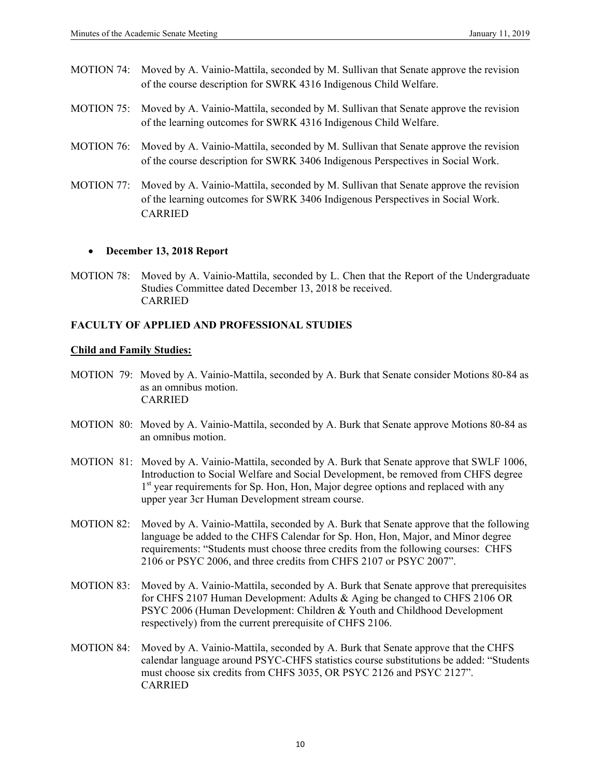- MOTION 74: Moved by A. Vainio-Mattila, seconded by M. Sullivan that Senate approve the revision of the course description for SWRK 4316 Indigenous Child Welfare.
- MOTION 75: Moved by A. Vainio-Mattila, seconded by M. Sullivan that Senate approve the revision of the learning outcomes for SWRK 4316 Indigenous Child Welfare.
- MOTION 76: Moved by A. Vainio-Mattila, seconded by M. Sullivan that Senate approve the revision of the course description for SWRK 3406 Indigenous Perspectives in Social Work.
- MOTION 77: Moved by A. Vainio-Mattila, seconded by M. Sullivan that Senate approve the revision of the learning outcomes for SWRK 3406 Indigenous Perspectives in Social Work. CARRIED

#### **December 13, 2018 Report**

MOTION 78: Moved by A. Vainio-Mattila, seconded by L. Chen that the Report of the Undergraduate Studies Committee dated December 13, 2018 be received. CARRIED

# **FACULTY OF APPLIED AND PROFESSIONAL STUDIES**

## **Child and Family Studies:**

- MOTION 79: Moved by A. Vainio-Mattila, seconded by A. Burk that Senate consider Motions 80-84 as as an omnibus motion. CARRIED
- MOTION 80: Moved by A. Vainio-Mattila, seconded by A. Burk that Senate approve Motions 80-84 as an omnibus motion.
- MOTION 81: Moved by A. Vainio-Mattila, seconded by A. Burk that Senate approve that SWLF 1006, Introduction to Social Welfare and Social Development, be removed from CHFS degree 1<sup>st</sup> year requirements for Sp. Hon, Hon, Major degree options and replaced with any upper year 3cr Human Development stream course.
- MOTION 82: Moved by A. Vainio-Mattila, seconded by A. Burk that Senate approve that the following language be added to the CHFS Calendar for Sp. Hon, Hon, Major, and Minor degree requirements: "Students must choose three credits from the following courses: CHFS 2106 or PSYC 2006, and three credits from CHFS 2107 or PSYC 2007".
- MOTION 83: Moved by A. Vainio-Mattila, seconded by A. Burk that Senate approve that prerequisites for CHFS 2107 Human Development: Adults & Aging be changed to CHFS 2106 OR PSYC 2006 (Human Development: Children & Youth and Childhood Development respectively) from the current prerequisite of CHFS 2106.
- MOTION 84: Moved by A. Vainio-Mattila, seconded by A. Burk that Senate approve that the CHFS calendar language around PSYC-CHFS statistics course substitutions be added: "Students must choose six credits from CHFS 3035, OR PSYC 2126 and PSYC 2127". CARRIED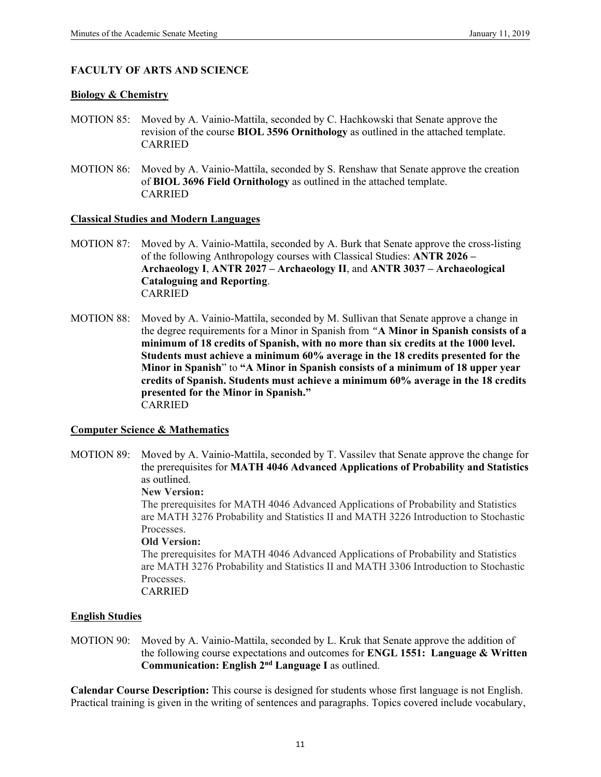## **FACULTY OF ARTS AND SCIENCE**

#### **Biology & Chemistry**

- MOTION 85:Moved by A. Vainio-Mattila, seconded by C. Hachkowski that Senate approve the revision of the course **BIOL 3596 Ornithology** as outlined in the attached template. CARRIED
- MOTION 86: Moved by A. Vainio-Mattila, seconded by S. Renshaw that Senate approve the creation of **BIOL 3696 Field Ornithology** as outlined in the attached template. CARRIED

#### **Classical Studies and Modern Languages**

- MOTION 87: Moved by A. Vainio-Mattila, seconded by A. Burk that Senate approve the cross-listing of the following Anthropology courses with Classical Studies: **ANTR 2026 – Archaeology I**, **ANTR 2027 – Archaeology II**, and **ANTR 3037 – Archaeological Cataloguing and Reporting**. CARRIED
- MOTION 88: Moved by A. Vainio-Mattila, seconded by M. Sullivan that Senate approve a change in the degree requirements for a Minor in Spanish from *"***A Minor in Spanish consists of a minimum of 18 credits of Spanish, with no more than six credits at the 1000 level. Students must achieve a minimum 60% average in the 18 credits presented for the Minor in Spanish**" to **"A Minor in Spanish consists of a minimum of 18 upper year credits of Spanish. Students must achieve a minimum 60% average in the 18 credits presented for the Minor in Spanish."**  CARRIED

#### **Computer Science & Mathematics**

MOTION 89: Moved by A. Vainio-Mattila, seconded by T. Vassilev that Senate approve the change for the prerequisites for **MATH 4046 Advanced Applications of Probability and Statistics** as outlined.

#### **New Version:**

The prerequisites for MATH 4046 Advanced Applications of Probability and Statistics are MATH 3276 Probability and Statistics II and MATH 3226 Introduction to Stochastic Processes.

#### **Old Version:**

The prerequisites for MATH 4046 Advanced Applications of Probability and Statistics are MATH 3276 Probability and Statistics II and MATH 3306 Introduction to Stochastic Processes.

CARRIED

#### **English Studies**

MOTION 90:Moved by A. Vainio-Mattila, seconded by L. Kruk that Senate approve the addition of the following course expectations and outcomes for **ENGL 1551: Language & Written Communication: English 2nd Language I** as outlined.

**Calendar Course Description:** This course is designed for students whose first language is not English. Practical training is given in the writing of sentences and paragraphs. Topics covered include vocabulary,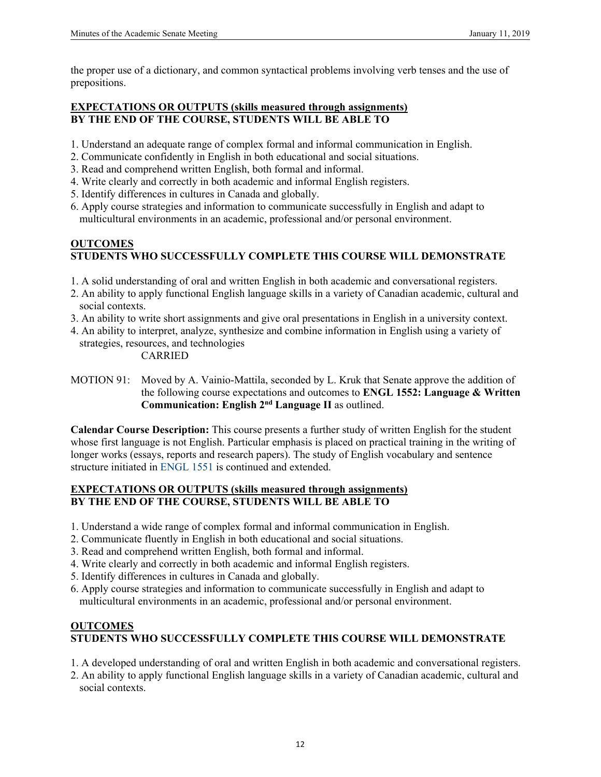the proper use of a dictionary, and common syntactical problems involving verb tenses and the use of prepositions.

## **EXPECTATIONS OR OUTPUTS (skills measured through assignments) BY THE END OF THE COURSE, STUDENTS WILL BE ABLE TO**

- 1. Understand an adequate range of complex formal and informal communication in English.
- 2. Communicate confidently in English in both educational and social situations.
- 3. Read and comprehend written English, both formal and informal.
- 4. Write clearly and correctly in both academic and informal English registers.
- 5. Identify differences in cultures in Canada and globally.
- 6. Apply course strategies and information to communicate successfully in English and adapt to multicultural environments in an academic, professional and/or personal environment.

# **OUTCOMES STUDENTS WHO SUCCESSFULLY COMPLETE THIS COURSE WILL DEMONSTRATE**

- 1. A solid understanding of oral and written English in both academic and conversational registers.
- 2. An ability to apply functional English language skills in a variety of Canadian academic, cultural and social contexts.
- 3. An ability to write short assignments and give oral presentations in English in a university context.
- 4. An ability to interpret, analyze, synthesize and combine information in English using a variety of strategies, resources, and technologies CARRIED
- MOTION 91:Moved by A. Vainio-Mattila, seconded by L. Kruk that Senate approve the addition of the following course expectations and outcomes to **ENGL 1552: Language & Written Communication: English 2nd Language II** as outlined.

**Calendar Course Description:** This course presents a further study of written English for the student whose first language is not English. Particular emphasis is placed on practical training in the writing of longer works (essays, reports and research papers). The study of English vocabulary and sentence structure initiated in ENGL 1551 is continued and extended.

# **EXPECTATIONS OR OUTPUTS (skills measured through assignments) BY THE END OF THE COURSE, STUDENTS WILL BE ABLE TO**

- 1. Understand a wide range of complex formal and informal communication in English.
- 2. Communicate fluently in English in both educational and social situations.
- 3. Read and comprehend written English, both formal and informal.
- 4. Write clearly and correctly in both academic and informal English registers.
- 5. Identify differences in cultures in Canada and globally.
- 6. Apply course strategies and information to communicate successfully in English and adapt to multicultural environments in an academic, professional and/or personal environment.

# **OUTCOMES STUDENTS WHO SUCCESSFULLY COMPLETE THIS COURSE WILL DEMONSTRATE**

- 1. A developed understanding of oral and written English in both academic and conversational registers.
- 2. An ability to apply functional English language skills in a variety of Canadian academic, cultural and social contexts.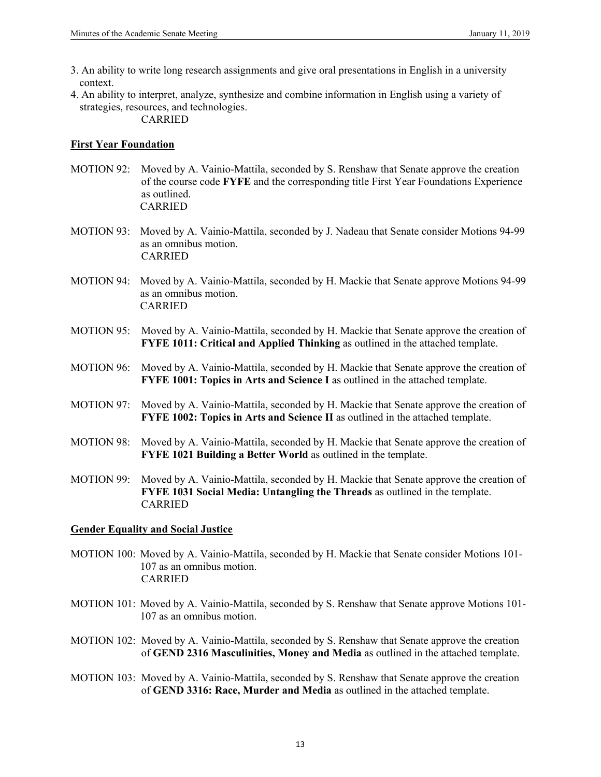- 3. An ability to write long research assignments and give oral presentations in English in a university context.
- 4. An ability to interpret, analyze, synthesize and combine information in English using a variety of strategies, resources, and technologies.

## CARRIED

#### **First Year Foundation**

- MOTION 92:Moved by A. Vainio-Mattila, seconded by S. Renshaw that Senate approve the creation of the course code **FYFE** and the corresponding title First Year Foundations Experience as outlined. CARRIED
- MOTION 93: Moved by A. Vainio-Mattila, seconded by J. Nadeau that Senate consider Motions 94-99 as an omnibus motion. CARRIED
- MOTION 94: Moved by A. Vainio-Mattila, seconded by H. Mackie that Senate approve Motions 94-99 as an omnibus motion. CARRIED
- MOTION 95:Moved by A. Vainio-Mattila, seconded by H. Mackie that Senate approve the creation of **FYFE 1011: Critical and Applied Thinking** as outlined in the attached template.
- MOTION 96:Moved by A. Vainio-Mattila, seconded by H. Mackie that Senate approve the creation of **FYFE 1001: Topics in Arts and Science I** as outlined in the attached template.
- MOTION 97:Moved by A. Vainio-Mattila, seconded by H. Mackie that Senate approve the creation of **FYFE 1002: Topics in Arts and Science II** as outlined in the attached template.
- MOTION 98:Moved by A. Vainio-Mattila, seconded by H. Mackie that Senate approve the creation of **FYFE 1021 Building a Better World** as outlined in the template.
- MOTION 99:Moved by A. Vainio-Mattila, seconded by H. Mackie that Senate approve the creation of **FYFE 1031 Social Media: Untangling the Threads** as outlined in the template. CARRIED

## **Gender Equality and Social Justice**

- MOTION 100: Moved by A. Vainio-Mattila, seconded by H. Mackie that Senate consider Motions 101- 107 as an omnibus motion. CARRIED
- MOTION 101: Moved by A. Vainio-Mattila, seconded by S. Renshaw that Senate approve Motions 101- 107 as an omnibus motion.
- MOTION 102:Moved by A. Vainio-Mattila, seconded by S. Renshaw that Senate approve the creation of **GEND 2316 Masculinities, Money and Media** as outlined in the attached template.
- MOTION 103: Moved by A. Vainio-Mattila, seconded by S. Renshaw that Senate approve the creation of **GEND 3316: Race, Murder and Media** as outlined in the attached template.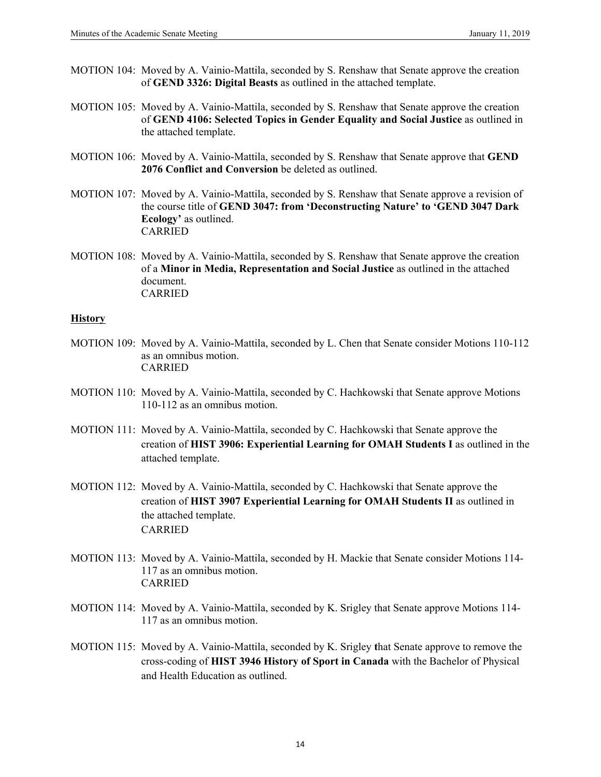- MOTION 104:Moved by A. Vainio-Mattila, seconded by S. Renshaw that Senate approve the creation of **GEND 3326: Digital Beasts** as outlined in the attached template.
- MOTION 105:Moved by A. Vainio-Mattila, seconded by S. Renshaw that Senate approve the creation of **GEND 4106: Selected Topics in Gender Equality and Social Justice** as outlined in the attached template.
- MOTION 106:Moved by A. Vainio-Mattila, seconded by S. Renshaw that Senate approve that **GEND 2076 Conflict and Conversion** be deleted as outlined.
- MOTION 107:Moved by A. Vainio-Mattila, seconded by S. Renshaw that Senate approve a revision of the course title of **GEND 3047: from 'Deconstructing Nature' to 'GEND 3047 Dark Ecology'** as outlined. CARRIED
- MOTION 108: Moved by A. Vainio-Mattila, seconded by S. Renshaw that Senate approve the creation of a **Minor in Media, Representation and Social Justice** as outlined in the attached document. CARRIED

#### **History**

- MOTION 109: Moved by A. Vainio-Mattila, seconded by L. Chen that Senate consider Motions 110-112 as an omnibus motion. CARRIED
- MOTION 110: Moved by A. Vainio-Mattila, seconded by C. Hachkowski that Senate approve Motions 110-112 as an omnibus motion.
- MOTION 111:Moved by A. Vainio-Mattila, seconded by C. Hachkowski that Senate approve the creation of **HIST 3906: Experiential Learning for OMAH Students I** as outlined in the attached template.
- MOTION 112:Moved by A. Vainio-Mattila, seconded by C. Hachkowski that Senate approve the creation of **HIST 3907 Experiential Learning for OMAH Students II** as outlined in the attached template. CARRIED
- MOTION 113: Moved by A. Vainio-Mattila, seconded by H. Mackie that Senate consider Motions 114- 117 as an omnibus motion. CARRIED
- MOTION 114: Moved by A. Vainio-Mattila, seconded by K. Srigley that Senate approve Motions 114- 117 as an omnibus motion.
- MOTION 115:Moved by A. Vainio-Mattila, seconded by K. Srigley **t**hat Senate approve to remove the cross-coding of **HIST 3946 History of Sport in Canada** with the Bachelor of Physical and Health Education as outlined.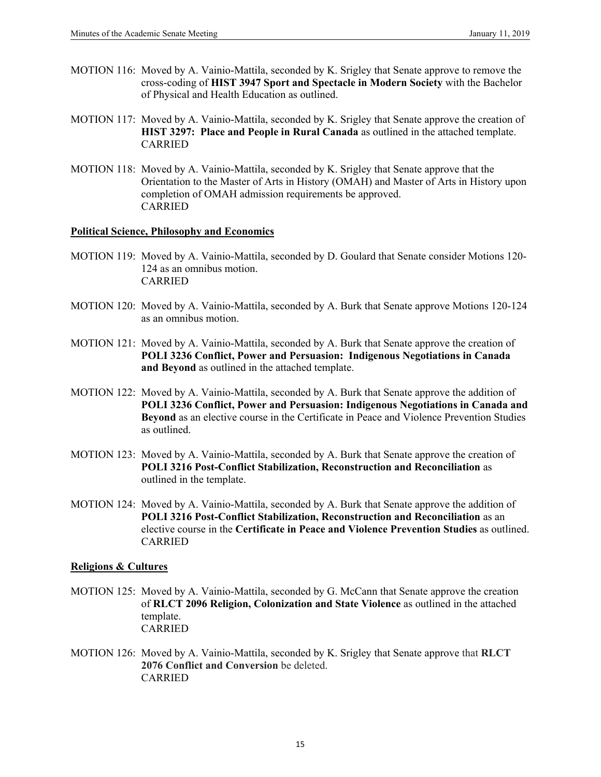- MOTION 116:Moved by A. Vainio-Mattila, seconded by K. Srigley that Senate approve to remove the cross-coding of **HIST 3947 Sport and Spectacle in Modern Society** with the Bachelor of Physical and Health Education as outlined.
- MOTION 117:Moved by A. Vainio-Mattila, seconded by K. Srigley that Senate approve the creation of **HIST 3297: Place and People in Rural Canada** as outlined in the attached template. CARRIED
- MOTION 118: Moved by A. Vainio-Mattila, seconded by K. Srigley that Senate approve that the Orientation to the Master of Arts in History (OMAH) and Master of Arts in History upon completion of OMAH admission requirements be approved. CARRIED

#### **Political Science, Philosophy and Economics**

- MOTION 119: Moved by A. Vainio-Mattila, seconded by D. Goulard that Senate consider Motions 120- 124 as an omnibus motion. CARRIED
- MOTION 120: Moved by A. Vainio-Mattila, seconded by A. Burk that Senate approve Motions 120-124 as an omnibus motion.
- MOTION 121:Moved by A. Vainio-Mattila, seconded by A. Burk that Senate approve the creation of **POLI 3236 Conflict, Power and Persuasion: Indigenous Negotiations in Canada and Beyond** as outlined in the attached template.
- MOTION 122:Moved by A. Vainio-Mattila, seconded by A. Burk that Senate approve the addition of **POLI 3236 Conflict, Power and Persuasion: Indigenous Negotiations in Canada and Beyond** as an elective course in the Certificate in Peace and Violence Prevention Studies as outlined.
- MOTION 123: Moved by A. Vainio-Mattila, seconded by A. Burk that Senate approve the creation of **POLI 3216 Post-Conflict Stabilization, Reconstruction and Reconciliation** as outlined in the template.
- MOTION 124: Moved by A. Vainio-Mattila, seconded by A. Burk that Senate approve the addition of **POLI 3216 Post-Conflict Stabilization, Reconstruction and Reconciliation** as an elective course in the **Certificate in Peace and Violence Prevention Studies** as outlined. CARRIED

#### **Religions & Cultures**

- MOTION 125:Moved by A. Vainio-Mattila, seconded by G. McCann that Senate approve the creation of **RLCT 2096 Religion, Colonization and State Violence** as outlined in the attached template. CARRIED
- MOTION 126:Moved by A. Vainio-Mattila, seconded by K. Srigley that Senate approve that **RLCT 2076 Conflict and Conversion** be deleted. CARRIED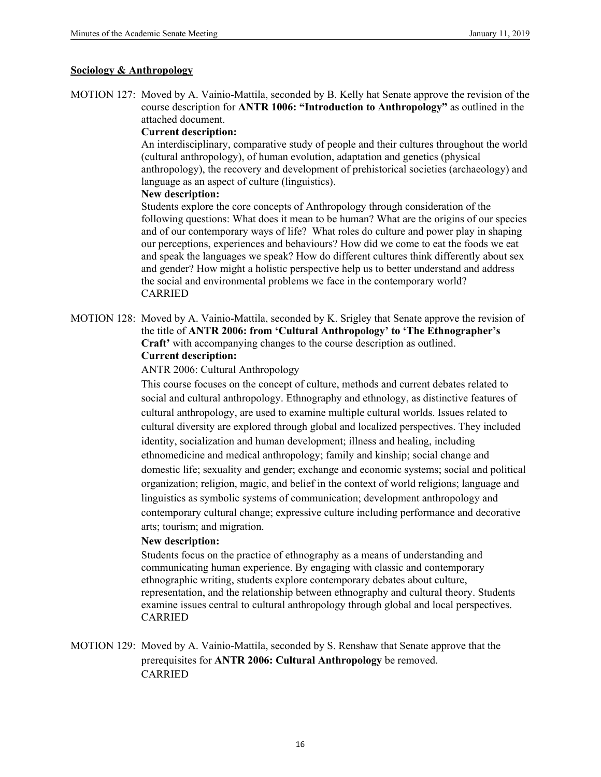#### **Sociology & Anthropology**

MOTION 127: Moved by A. Vainio-Mattila, seconded by B. Kelly hat Senate approve the revision of the course description for **ANTR 1006: "Introduction to Anthropology"** as outlined in the attached document.

#### **Current description:**

 An interdisciplinary, comparative study of people and their cultures throughout the world (cultural anthropology), of human evolution, adaptation and genetics (physical anthropology), the recovery and development of prehistorical societies (archaeology) and language as an aspect of culture (linguistics).

#### **New description:**

 Students explore the core concepts of Anthropology through consideration of the following questions: What does it mean to be human? What are the origins of our species and of our contemporary ways of life? What roles do culture and power play in shaping our perceptions, experiences and behaviours? How did we come to eat the foods we eat and speak the languages we speak? How do different cultures think differently about sex and gender? How might a holistic perspective help us to better understand and address the social and environmental problems we face in the contemporary world? CARRIED

MOTION 128: Moved by A. Vainio-Mattila, seconded by K. Srigley that Senate approve the revision of the title of **ANTR 2006: from 'Cultural Anthropology' to 'The Ethnographer's Craft'** with accompanying changes to the course description as outlined.  **Current description:**

ANTR 2006: Cultural Anthropology

 This course focuses on the concept of culture, methods and current debates related to social and cultural anthropology. Ethnography and ethnology, as distinctive features of cultural anthropology, are used to examine multiple cultural worlds. Issues related to cultural diversity are explored through global and localized perspectives. They included identity, socialization and human development; illness and healing, including ethnomedicine and medical anthropology; family and kinship; social change and domestic life; sexuality and gender; exchange and economic systems; social and political organization; religion, magic, and belief in the context of world religions; language and linguistics as symbolic systems of communication; development anthropology and contemporary cultural change; expressive culture including performance and decorative arts; tourism; and migration.

## **New description:**

Students focus on the practice of ethnography as a means of understanding and communicating human experience. By engaging with classic and contemporary ethnographic writing, students explore contemporary debates about culture, representation, and the relationship between ethnography and cultural theory. Students examine issues central to cultural anthropology through global and local perspectives. CARRIED

MOTION 129: Moved by A. Vainio-Mattila, seconded by S. Renshaw that Senate approve that the prerequisites for **ANTR 2006: Cultural Anthropology** be removed. CARRIED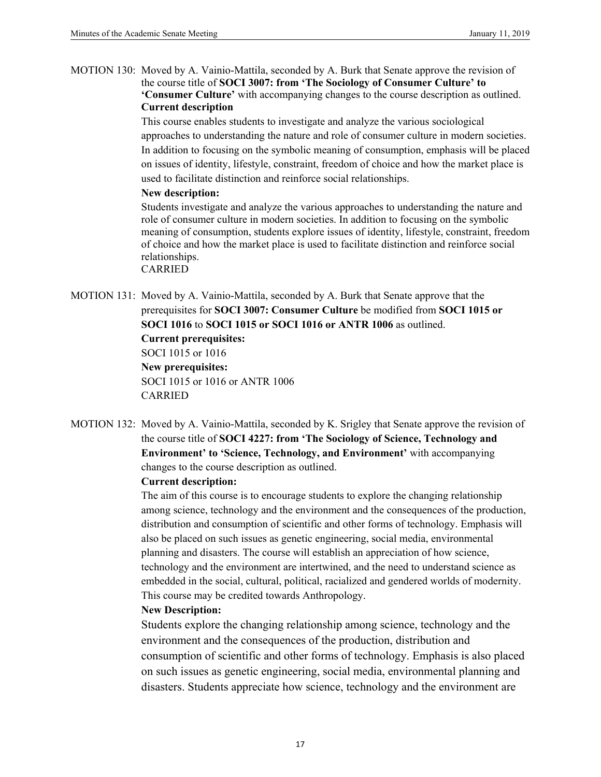MOTION 130: Moved by A. Vainio-Mattila, seconded by A. Burk that Senate approve the revision of the course title of **SOCI 3007: from 'The Sociology of Consumer Culture' to 'Consumer Culture'** with accompanying changes to the course description as outlined.  **Current description** 

> This course enables students to investigate and analyze the various sociological approaches to understanding the nature and role of consumer culture in modern societies. In addition to focusing on the symbolic meaning of consumption, emphasis will be placed on issues of identity, lifestyle, constraint, freedom of choice and how the market place is used to facilitate distinction and reinforce social relationships.

#### **New description:**

Students investigate and analyze the various approaches to understanding the nature and role of consumer culture in modern societies. In addition to focusing on the symbolic meaning of consumption, students explore issues of identity, lifestyle, constraint, freedom of choice and how the market place is used to facilitate distinction and reinforce social relationships. CARRIED

- MOTION 131: Moved by A. Vainio-Mattila, seconded by A. Burk that Senate approve that the prerequisites for **SOCI 3007: Consumer Culture** be modified from **SOCI 1015 or SOCI 1016** to **SOCI 1015 or SOCI 1016 or ANTR 1006** as outlined.  **Current prerequisites:** SOCI 1015 or 1016  **New prerequisites:** SOCI 1015 or 1016 or ANTR 1006 CARRIED
- MOTION 132: Moved by A. Vainio-Mattila, seconded by K. Srigley that Senate approve the revision of the course title of **SOCI 4227: from 'The Sociology of Science, Technology and Environment' to 'Science, Technology, and Environment'** with accompanying changes to the course description as outlined.

## **Current description:**

 The aim of this course is to encourage students to explore the changing relationship among science, technology and the environment and the consequences of the production, distribution and consumption of scientific and other forms of technology. Emphasis will also be placed on such issues as genetic engineering, social media, environmental planning and disasters. The course will establish an appreciation of how science, technology and the environment are intertwined, and the need to understand science as embedded in the social, cultural, political, racialized and gendered worlds of modernity. This course may be credited towards Anthropology.

## **New Description:**

Students explore the changing relationship among science, technology and the environment and the consequences of the production, distribution and consumption of scientific and other forms of technology. Emphasis is also placed on such issues as genetic engineering, social media, environmental planning and disasters. Students appreciate how science, technology and the environment are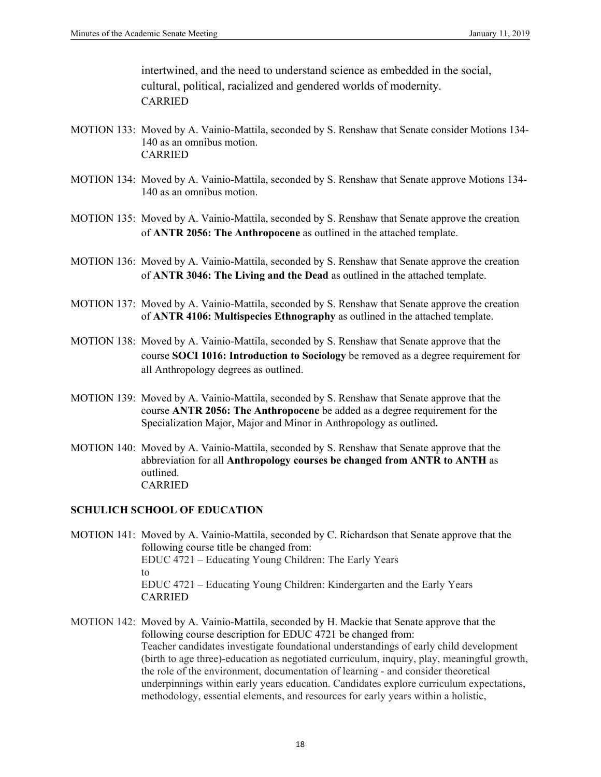intertwined, and the need to understand science as embedded in the social, cultural, political, racialized and gendered worlds of modernity. CARRIED

- MOTION 133: Moved by A. Vainio-Mattila, seconded by S. Renshaw that Senate consider Motions 134- 140 as an omnibus motion. CARRIED
- MOTION 134: Moved by A. Vainio-Mattila, seconded by S. Renshaw that Senate approve Motions 134- 140 as an omnibus motion.
- MOTION 135: Moved by A. Vainio-Mattila, seconded by S. Renshaw that Senate approve the creation of **ANTR 2056: The Anthropocene** as outlined in the attached template.
- MOTION 136:Moved by A. Vainio-Mattila, seconded by S. Renshaw that Senate approve the creation of **ANTR 3046: The Living and the Dead** as outlined in the attached template.
- MOTION 137:Moved by A. Vainio-Mattila, seconded by S. Renshaw that Senate approve the creation of **ANTR 4106: Multispecies Ethnography** as outlined in the attached template.
- MOTION 138:Moved by A. Vainio-Mattila, seconded by S. Renshaw that Senate approve that the course **SOCI 1016: Introduction to Sociology** be removed as a degree requirement for all Anthropology degrees as outlined.
- MOTION 139: Moved by A. Vainio-Mattila, seconded by S. Renshaw that Senate approve that the course **ANTR 2056: The Anthropocene** be added as a degree requirement for the Specialization Major, Major and Minor in Anthropology as outlined**.**
- MOTION 140:Moved by A. Vainio-Mattila, seconded by S. Renshaw that Senate approve that the abbreviation for all **Anthropology courses be changed from ANTR to ANTH** as outlined. CARRIED

## **SCHULICH SCHOOL OF EDUCATION**

- MOTION 141: Moved by A. Vainio-Mattila, seconded by C. Richardson that Senate approve that the following course title be changed from: EDUC 4721 – Educating Young Children: The Early Years to EDUC 4721 – Educating Young Children: Kindergarten and the Early Years CARRIED
- MOTION 142:Moved by A. Vainio-Mattila, seconded by H. Mackie that Senate approve that the following course description for EDUC 4721 be changed from: Teacher candidates investigate foundational understandings of early child development (birth to age three)-education as negotiated curriculum, inquiry, play, meaningful growth, the role of the environment, documentation of learning - and consider theoretical underpinnings within early years education. Candidates explore curriculum expectations, methodology, essential elements, and resources for early years within a holistic,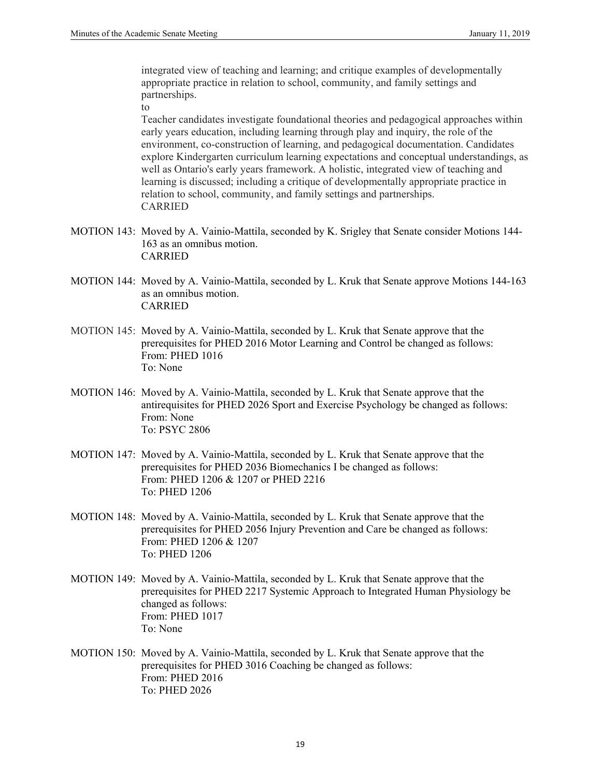integrated view of teaching and learning; and critique examples of developmentally appropriate practice in relation to school, community, and family settings and partnerships.

to

 Teacher candidates investigate foundational theories and pedagogical approaches within early years education, including learning through play and inquiry, the role of the environment, co-construction of learning, and pedagogical documentation. Candidates explore Kindergarten curriculum learning expectations and conceptual understandings, as well as Ontario's early years framework. A holistic, integrated view of teaching and learning is discussed; including a critique of developmentally appropriate practice in relation to school, community, and family settings and partnerships. CARRIED

- MOTION 143: Moved by A. Vainio-Mattila, seconded by K. Srigley that Senate consider Motions 144- 163 as an omnibus motion. CARRIED
- MOTION 144: Moved by A. Vainio-Mattila, seconded by L. Kruk that Senate approve Motions 144-163 as an omnibus motion. CARRIED
- MOTION 145:Moved by A. Vainio-Mattila, seconded by L. Kruk that Senate approve that the prerequisites for PHED 2016 Motor Learning and Control be changed as follows: From: PHED 1016 To: None
- MOTION 146:Moved by A. Vainio-Mattila, seconded by L. Kruk that Senate approve that the antirequisites for PHED 2026 Sport and Exercise Psychology be changed as follows: From: None To: PSYC 2806
- MOTION 147:Moved by A. Vainio-Mattila, seconded by L. Kruk that Senate approve that the prerequisites for PHED 2036 Biomechanics I be changed as follows: From: PHED 1206 & 1207 or PHED 2216 To: PHED 1206
- MOTION 148: Moved by A. Vainio-Mattila, seconded by L. Kruk that Senate approve that the prerequisites for PHED 2056 Injury Prevention and Care be changed as follows: From: PHED 1206 & 1207 To: PHED 1206
- MOTION 149:Moved by A. Vainio-Mattila, seconded by L. Kruk that Senate approve that the prerequisites for PHED 2217 Systemic Approach to Integrated Human Physiology be changed as follows: From: PHED 1017 To: None
- MOTION 150:Moved by A. Vainio-Mattila, seconded by L. Kruk that Senate approve that the prerequisites for PHED 3016 Coaching be changed as follows: From: PHED 2016 To: PHED 2026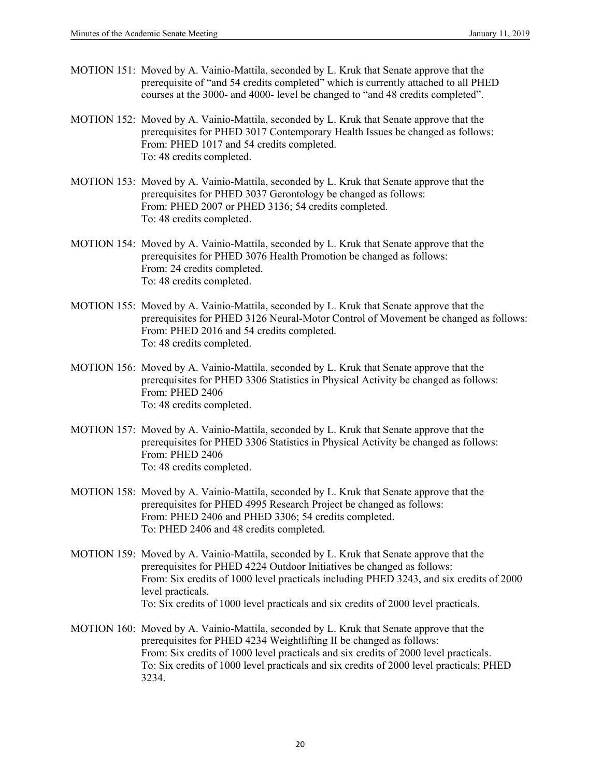- MOTION 151: Moved by A. Vainio-Mattila, seconded by L. Kruk that Senate approve that the prerequisite of "and 54 credits completed" which is currently attached to all PHED courses at the 3000- and 4000- level be changed to "and 48 credits completed".
- MOTION 152:Moved by A. Vainio-Mattila, seconded by L. Kruk that Senate approve that the prerequisites for PHED 3017 Contemporary Health Issues be changed as follows: From: PHED 1017 and 54 credits completed. To: 48 credits completed.
- MOTION 153:Moved by A. Vainio-Mattila, seconded by L. Kruk that Senate approve that the prerequisites for PHED 3037 Gerontology be changed as follows: From: PHED 2007 or PHED 3136; 54 credits completed. To: 48 credits completed.
- MOTION 154: Moved by A. Vainio-Mattila, seconded by L. Kruk that Senate approve that the prerequisites for PHED 3076 Health Promotion be changed as follows: From: 24 credits completed. To: 48 credits completed.
- MOTION 155:Moved by A. Vainio-Mattila, seconded by L. Kruk that Senate approve that the prerequisites for PHED 3126 Neural-Motor Control of Movement be changed as follows: From: PHED 2016 and 54 credits completed. To: 48 credits completed.
- MOTION 156:Moved by A. Vainio-Mattila, seconded by L. Kruk that Senate approve that the prerequisites for PHED 3306 Statistics in Physical Activity be changed as follows: From: PHED 2406 To: 48 credits completed.
- MOTION 157:Moved by A. Vainio-Mattila, seconded by L. Kruk that Senate approve that the prerequisites for PHED 3306 Statistics in Physical Activity be changed as follows: From: PHED 2406 To: 48 credits completed.
- MOTION 158:Moved by A. Vainio-Mattila, seconded by L. Kruk that Senate approve that the prerequisites for PHED 4995 Research Project be changed as follows: From: PHED 2406 and PHED 3306; 54 credits completed. To: PHED 2406 and 48 credits completed.
- MOTION 159:Moved by A. Vainio-Mattila, seconded by L. Kruk that Senate approve that the prerequisites for PHED 4224 Outdoor Initiatives be changed as follows: From: Six credits of 1000 level practicals including PHED 3243, and six credits of 2000 level practicals. To: Six credits of 1000 level practicals and six credits of 2000 level practicals.
- MOTION 160:Moved by A. Vainio-Mattila, seconded by L. Kruk that Senate approve that the prerequisites for PHED 4234 Weightlifting II be changed as follows: From: Six credits of 1000 level practicals and six credits of 2000 level practicals. To: Six credits of 1000 level practicals and six credits of 2000 level practicals; PHED 3234.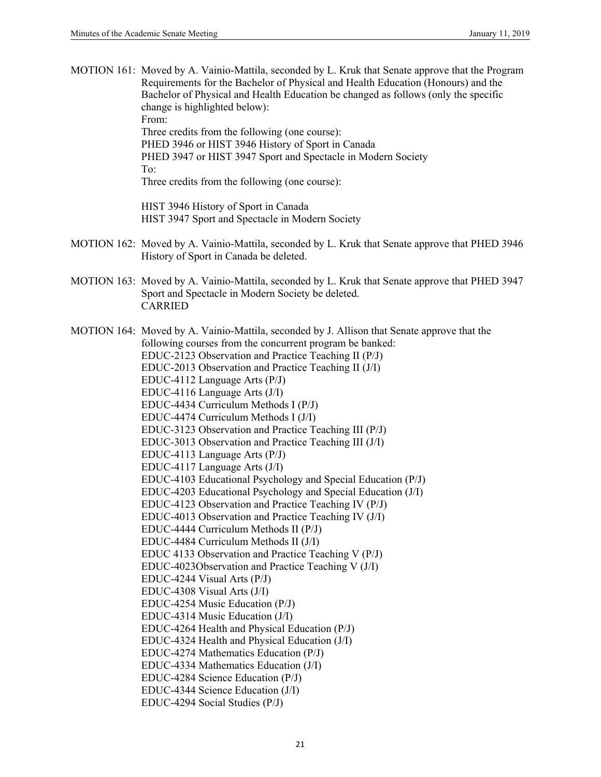| MOTION 161: Moved by A. Vainio-Mattila, seconded by L. Kruk that Senate approve that the Program<br>Requirements for the Bachelor of Physical and Health Education (Honours) and the<br>Bachelor of Physical and Health Education be changed as follows (only the specific<br>change is highlighted below):<br>From:<br>Three credits from the following (one course):<br>PHED 3946 or HIST 3946 History of Sport in Canada<br>PHED 3947 or HIST 3947 Sport and Spectacle in Modern Society<br>To:<br>Three credits from the following (one course):<br>HIST 3946 History of Sport in Canada<br>HIST 3947 Sport and Spectacle in Modern Society                                                                                                                                                                                                                                                                                                                                                                                                                                                                                                                                                                                                                                                                                                                                                                                                                                                    |
|----------------------------------------------------------------------------------------------------------------------------------------------------------------------------------------------------------------------------------------------------------------------------------------------------------------------------------------------------------------------------------------------------------------------------------------------------------------------------------------------------------------------------------------------------------------------------------------------------------------------------------------------------------------------------------------------------------------------------------------------------------------------------------------------------------------------------------------------------------------------------------------------------------------------------------------------------------------------------------------------------------------------------------------------------------------------------------------------------------------------------------------------------------------------------------------------------------------------------------------------------------------------------------------------------------------------------------------------------------------------------------------------------------------------------------------------------------------------------------------------------|
| MOTION 162: Moved by A. Vainio-Mattila, seconded by L. Kruk that Senate approve that PHED 3946<br>History of Sport in Canada be deleted.                                                                                                                                                                                                                                                                                                                                                                                                                                                                                                                                                                                                                                                                                                                                                                                                                                                                                                                                                                                                                                                                                                                                                                                                                                                                                                                                                           |
| MOTION 163: Moved by A. Vainio-Mattila, seconded by L. Kruk that Senate approve that PHED 3947<br>Sport and Spectacle in Modern Society be deleted.<br><b>CARRIED</b>                                                                                                                                                                                                                                                                                                                                                                                                                                                                                                                                                                                                                                                                                                                                                                                                                                                                                                                                                                                                                                                                                                                                                                                                                                                                                                                              |
| MOTION 164: Moved by A. Vainio-Mattila, seconded by J. Allison that Senate approve that the<br>following courses from the concurrent program be banked:<br>EDUC-2123 Observation and Practice Teaching II (P/J)<br>EDUC-2013 Observation and Practice Teaching II (J/I)<br>EDUC-4112 Language Arts (P/J)<br>EDUC-4116 Language Arts (J/I)<br>EDUC-4434 Curriculum Methods I (P/J)<br>EDUC-4474 Curriculum Methods I (J/I)<br>EDUC-3123 Observation and Practice Teaching III (P/J)<br>EDUC-3013 Observation and Practice Teaching III (J/I)<br>EDUC-4113 Language Arts (P/J)<br>EDUC-4117 Language Arts (J/I)<br>EDUC-4103 Educational Psychology and Special Education (P/J)<br>EDUC-4203 Educational Psychology and Special Education (J/I)<br>EDUC-4123 Observation and Practice Teaching IV (P/J)<br>EDUC-4013 Observation and Practice Teaching IV (J/I)<br>EDUC-4444 Curriculum Methods II (P/J)<br>EDUC-4484 Curriculum Methods II (J/I)<br>EDUC 4133 Observation and Practice Teaching V (P/J)<br>EDUC-4023Observation and Practice Teaching V (J/I)<br>EDUC-4244 Visual Arts $(P/J)$<br>EDUC-4308 Visual Arts (J/I)<br>EDUC-4254 Music Education (P/J)<br>EDUC-4314 Music Education (J/I)<br>EDUC-4264 Health and Physical Education (P/J)<br>EDUC-4324 Health and Physical Education (J/I)<br>EDUC-4274 Mathematics Education (P/J)<br>EDUC-4334 Mathematics Education (J/I)<br>EDUC-4284 Science Education (P/J)<br>EDUC-4344 Science Education (J/I)<br>EDUC-4294 Social Studies (P/J) |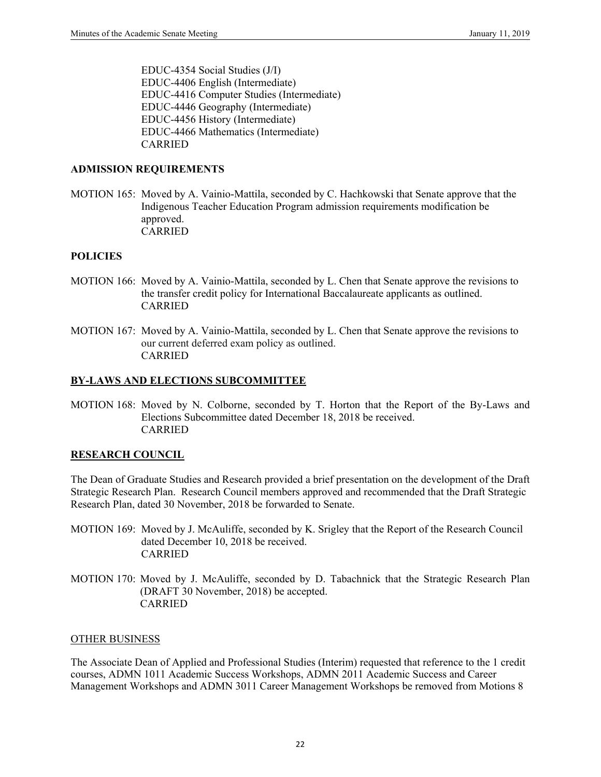EDUC-4354 Social Studies (J/I) EDUC-4406 English (Intermediate) EDUC-4416 Computer Studies (Intermediate) EDUC-4446 Geography (Intermediate) EDUC-4456 History (Intermediate) EDUC-4466 Mathematics (Intermediate) CARRIED

#### **ADMISSION REQUIREMENTS**

MOTION 165: Moved by A. Vainio-Mattila, seconded by C. Hachkowski that Senate approve that the Indigenous Teacher Education Program admission requirements modification be approved. CARRIED

#### **POLICIES**

- MOTION 166: Moved by A. Vainio-Mattila, seconded by L. Chen that Senate approve the revisions to the transfer credit policy for International Baccalaureate applicants as outlined. CARRIED
- MOTION 167: Moved by A. Vainio-Mattila, seconded by L. Chen that Senate approve the revisions to our current deferred exam policy as outlined. CARRIED

## **BY-LAWS AND ELECTIONS SUBCOMMITTEE**

MOTION 168: Moved by N. Colborne, seconded by T. Horton that the Report of the By-Laws and Elections Subcommittee dated December 18, 2018 be received. CARRIED

## **RESEARCH COUNCIL**

The Dean of Graduate Studies and Research provided a brief presentation on the development of the Draft Strategic Research Plan. Research Council members approved and recommended that the Draft Strategic Research Plan, dated 30 November, 2018 be forwarded to Senate.

- MOTION 169: Moved by J. McAuliffe, seconded by K. Srigley that the Report of the Research Council dated December 10, 2018 be received. CARRIED
- MOTION 170: Moved by J. McAuliffe, seconded by D. Tabachnick that the Strategic Research Plan (DRAFT 30 November, 2018) be accepted. CARRIED

#### OTHER BUSINESS

The Associate Dean of Applied and Professional Studies (Interim) requested that reference to the 1 credit courses, ADMN 1011 Academic Success Workshops, ADMN 2011 Academic Success and Career Management Workshops and ADMN 3011 Career Management Workshops be removed from Motions 8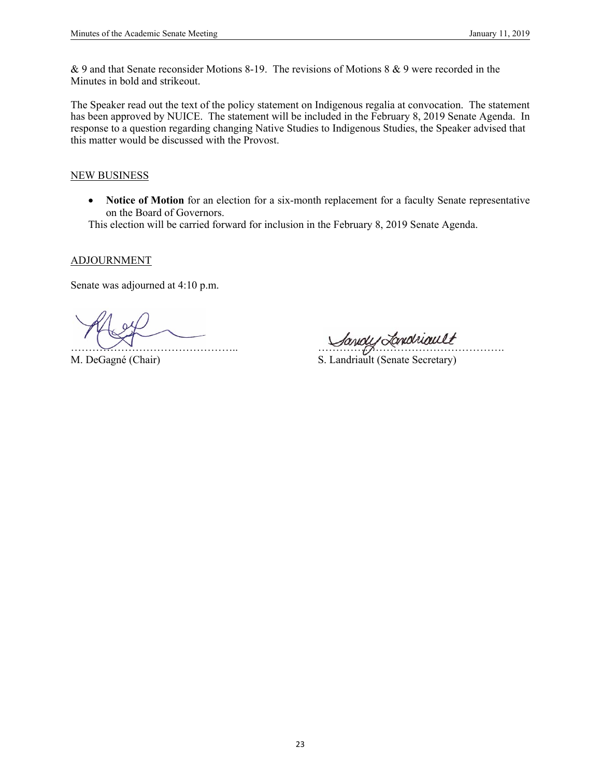& 9 and that Senate reconsider Motions 8-19. The revisions of Motions 8 & 9 were recorded in the Minutes in bold and strikeout.

The Speaker read out the text of the policy statement on Indigenous regalia at convocation. The statement has been approved by NUICE. The statement will be included in the February 8, 2019 Senate Agenda. In response to a question regarding changing Native Studies to Indigenous Studies, the Speaker advised that this matter would be discussed with the Provost.

#### NEW BUSINESS

 **Notice of Motion** for an election for a six-month replacement for a faculty Senate representative on the Board of Governors.

This election will be carried forward for inclusion in the February 8, 2019 Senate Agenda.

ADJOURNMENT

Senate was adjourned at 4:10 p.m.

Sandy Tondruallt

M. DeGagné (Chair) S. Landriault (Senate Secretary)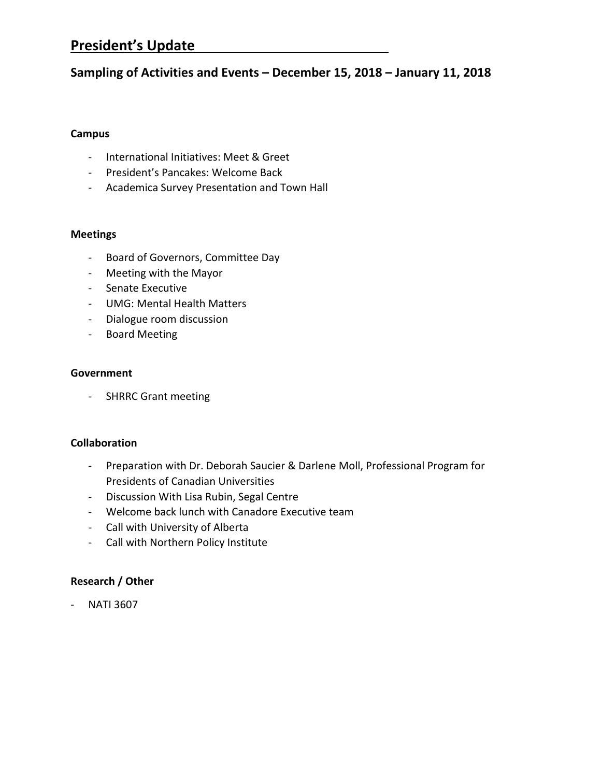# **President's Update**

# **Sampling of Activities and Events – December 15, 2018 – January 11, 2018**

# **Campus**

- ‐ International Initiatives: Meet & Greet
- ‐ President's Pancakes: Welcome Back
- ‐ Academica Survey Presentation and Town Hall

# **Meetings**

- ‐ Board of Governors, Committee Day
- ‐ Meeting with the Mayor
- ‐ Senate Executive
- ‐ UMG: Mental Health Matters
- ‐ Dialogue room discussion
- ‐ Board Meeting

# **Government**

‐ SHRRC Grant meeting

# **Collaboration**

- ‐ Preparation with Dr. Deborah Saucier & Darlene Moll, Professional Program for Presidents of Canadian Universities
- ‐ Discussion With Lisa Rubin, Segal Centre
- ‐ Welcome back lunch with Canadore Executive team
- ‐ Call with University of Alberta
- ‐ Call with Northern Policy Institute

# **Research / Other**

‐ NATI 3607